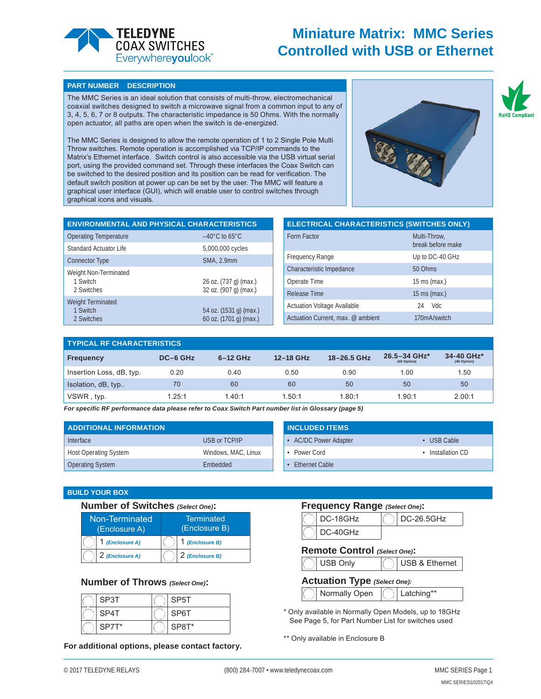

## **Miniature Matrix: MMC Series Controlled with USB or Ethernet**

#### **PART NUMBER DESCRIPTION**

The MMC Series is an ideal solution that consists of multi-throw, electromechanical coaxial switches designed to switch a microwave signal from a common input to any of 3, 4, 5, 6, 7 or 8 outputs. The characteristic impedance is 50 Ohms. With the normally open actuator, all paths are open when the switch is de-energized.

The MMC Series is designed to allow the remote operation of 1 to 2 Single Pole Multi Throw switches. Remote operation is accomplished via TCP/IP commands to the Matrix's Ethernet interface. Switch control is also accessible via the USB virtual serial port, using the provided command set. Through these interfaces the Coax Switch can be switched to the desired position and its position can be read for verification. The default switch position at power up can be set by the user. The MMC will feature a graphical user interface (GUI), which will enable user to control switches through graphical icons and visuals.



**RoHS Compl** 

| <b>ENVIRONMENTAL AND PHYSICAL CHARACTERISTICS</b>       |                                       | <b>ELECTRICAL CHARACTERISTICS (SWITCHES ONLY)</b> |                                   |
|---------------------------------------------------------|---------------------------------------|---------------------------------------------------|-----------------------------------|
| <b>Operating Temperature</b>                            | $-40^{\circ}$ C to 65 $^{\circ}$ C    | Form Factor                                       | Multi-Throw,<br>break before make |
| <b>Standard Actuator Life</b><br><b>Connector Type</b>  | 5,000,000 cycles<br><b>SMA. 2.9mm</b> | <b>Frequency Range</b>                            | Up to DC-40 GHz                   |
| Weight Non-Terminated                                   |                                       | Characteristic Impedance                          | 50 Ohms                           |
| 1 Switch                                                | 26 oz. (737 g) (max.)                 | Operate Time                                      | $15 \text{ ms}$ (max.)            |
| 2 Switches                                              | 32 oz. (907 g) (max.)                 | Release Time                                      | 15 ms (max.)                      |
| Weight Terminated<br>54 oz. (1531 g) (max.)<br>1 Switch | <b>Actuation Voltage Available</b>    | <b>Vdc</b><br>24                                  |                                   |
| 2 Switches                                              | 60 oz. (1701 g) (max.)                | Actuation Current, max. @ ambient                 | 170mA/switch                      |

| <b>TYPICAL RF CHARACTERISTICS</b> |          |            |           |             |                             |                           |
|-----------------------------------|----------|------------|-----------|-------------|-----------------------------|---------------------------|
| <b>Frequency</b>                  | DC-6 GHz | $6-12$ GHz | 12-18 GHz | 18-26.5 GHz | 26.5-34 GHz*<br>(40 Option) | 34-40 GHz*<br>(40 Option) |
| Insertion Loss, dB, typ.          | 0.20     | 0.40       | 0.50      | 0.90        | 1.00                        | 1.50                      |
| Isolation, dB, typ                | 70       | 60         | 60        | 50          | 50                          | 50                        |
| VSWR, typ.                        | 1.25:1   | 1.40:1     | 1.50:1    | 1.80:1      | 1.90:1                      | 2.00:1                    |

*For specifi c RF performance data please refer to Coax Switch Part number list in Glossary (page 5)*

| <b>ADDITIONAL INFORMATION</b> |                     | <b>INCLUDED ITEMS</b> |                 |
|-------------------------------|---------------------|-----------------------|-----------------|
| Interface                     | USB or TCP/IP       | • AC/DC Power Adapter | USB Cable       |
| <b>Host Operating System</b>  | Windows, MAC, Linux | Power Cord            | Installation CD |
| <b>Operating System</b>       | <b>Embedded</b>     | Ethernet Cable        |                 |

#### **BUILD YOUR BOX**

| Number of Switches (Select One): |                 |                                    |  |  |
|----------------------------------|-----------------|------------------------------------|--|--|
| Non-Terminated<br>(Enclosure A)  |                 | <b>Terminated</b><br>(Enclosure B) |  |  |
|                                  | 1 (Enclosure A) | 1 (Enclosure B)                    |  |  |
|                                  | 2 (Enclosure A) | 2 (Enclosure B)                    |  |  |

## **Number of Throws** *(Select One)***:**

| SP3T  | SP5T  |
|-------|-------|
| SP4T  | SP6T  |
| SP7T* | SP8T* |

**For additional options, please contact factory.**

## **Frequency Range** *(Select One)***:**

| DC-18GHz   | $\vert$ DC-26.5GHz |
|------------|--------------------|
| $DC-40GHz$ |                    |

### **Remote Control** *(Select One)***:**

USB Only  $\bigcap$  USB & Ethernet

## **Actuation Type** *(Select One):*

Normally Open  $\left(\begin{array}{c} \end{array}\right)$  Latching\*\*

\* Only available in Normally Open Models, up to 18GHz See Page 5, for Part Number List for switches used

\*\* Only available in Enclosure B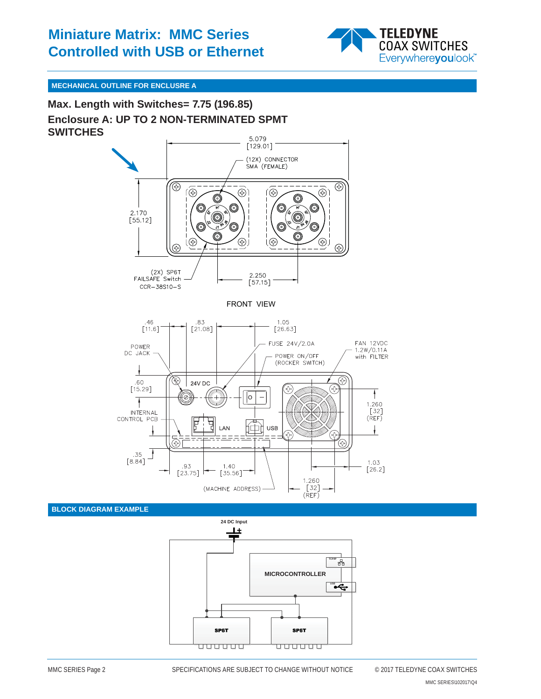

## **MECHANICAL OUTLINE FOR ENCLUSRE A**

**Enclosure A: UP TO 2 NON-TERMINATED SPMT SWITCHES Max. Length with Switches= 7.75 (196.85)**



## **BLOCK DIAGRAM EXAMPLE**

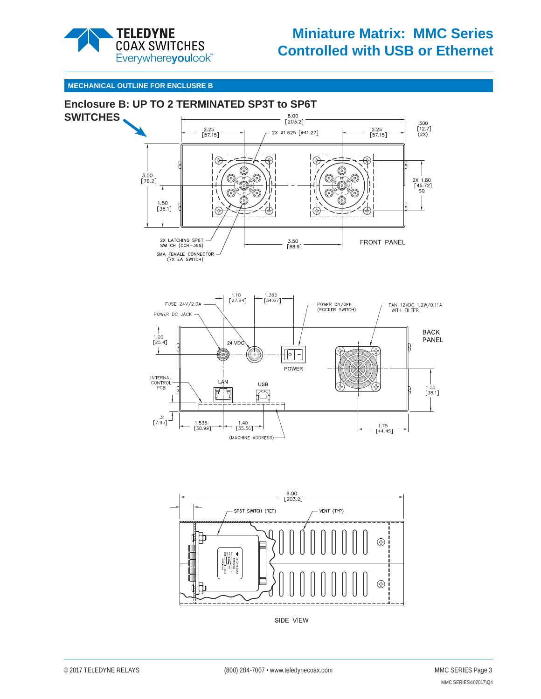

# **Miniature Matrix: MMC Series Controlled with USB or Ethernet**

## **MECHANICAL OUTLINE FOR ENCLUSRE B**





SIDE VIEW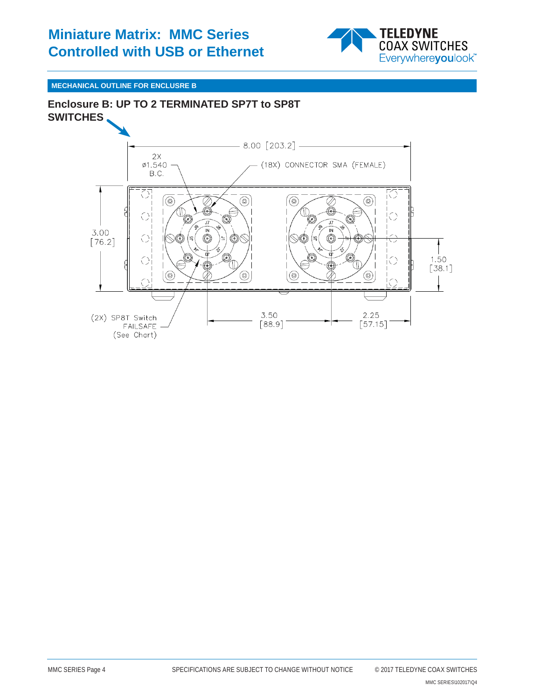## **Miniature Matrix: MMC Series Controlled with USB or Ethernet**



## **MECHANICAL OUTLINE FOR ENCLUSRE B**